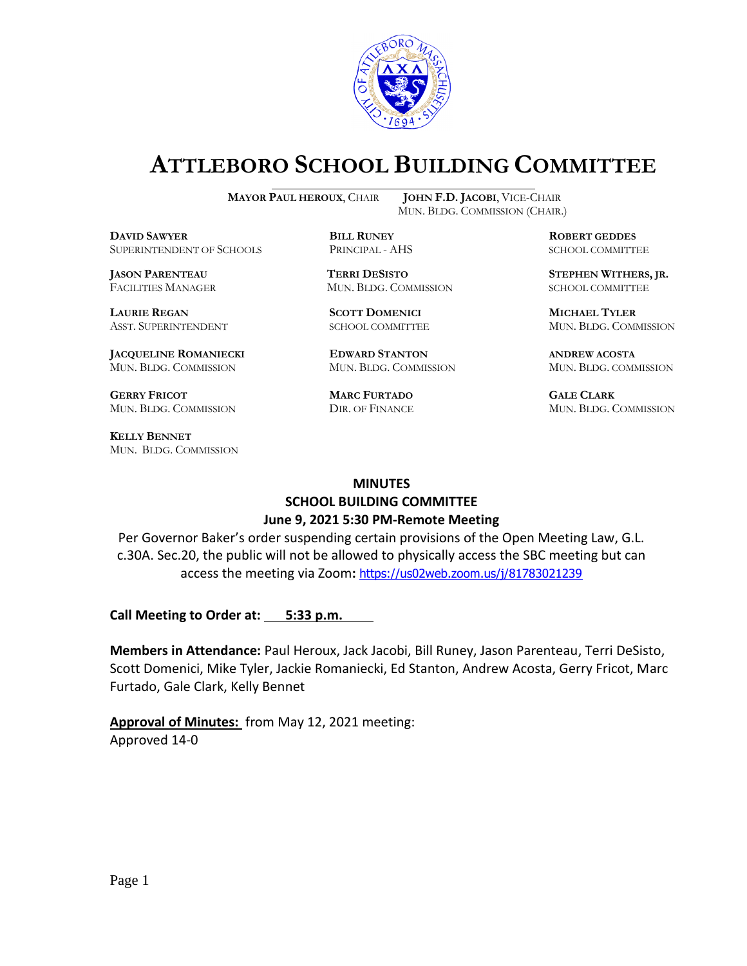

# **ATTLEBORO SCHOOL BUILDING COMMITTEE**

**DDAWYER BILL RUNEY ROBERT GEDDES** SUPERINTENDENT OF SCHOOLS PRINCIPAL - AHS SCHOOL COMMITTEE

**LAURIE REGAN SCOTT DOMENICI MICHAEL TYLER**

**JACQUELINE ROMANIECKI EDWARD STANTON ANDREW ACOSTA** MUN. BLDG. COMMISSION MUN. BLDG. COMMISSION MUN. BLDG. COMMISSION

**GERRY FRICOT MARC FURTADO GALE CLARK** MUN. BLDG. COMMISSION DIR. OF FINANCE MUN. BLDG. COMMISSION

**KELLY BENNET** MUN. BLDG. COMMISSION

**MAYOR PAUL HEROUX**, CHAIR **JOHN F.D. JACOBI**, VICE-CHAIR MUN. BLDG. COMMISSION (CHAIR.)

FACILITIES MANAGER MUN. BLDG. COMMISSION SCHOOL COMMITTEE

**JASON PARENTEAU TERRI DESISTO STEPHEN WITHERS, JR.**

ASST. SUPERINTENDENT SCHOOL COMMITTEE MUN. BLDG. COMMISSION

#### **MINUTES**

# **SCHOOL BUILDING COMMITTEE June 9, 2021 5:30 PM-Remote Meeting**

Per Governor Baker's order suspending certain provisions of the Open Meeting Law, G.L. c.30A. Sec.20, the public will not be allowed to physically access the SBC meeting but can access the meeting via Zoom**:** <https://us02web.zoom.us/j/81783021239>

**Call Meeting to Order at: 5:33 p.m.**

**Members in Attendance:** Paul Heroux, Jack Jacobi, Bill Runey, Jason Parenteau, Terri DeSisto, Scott Domenici, Mike Tyler, Jackie Romaniecki, Ed Stanton, Andrew Acosta, Gerry Fricot, Marc Furtado, Gale Clark, Kelly Bennet

**Approval of Minutes:** from May 12, 2021 meeting: Approved 14-0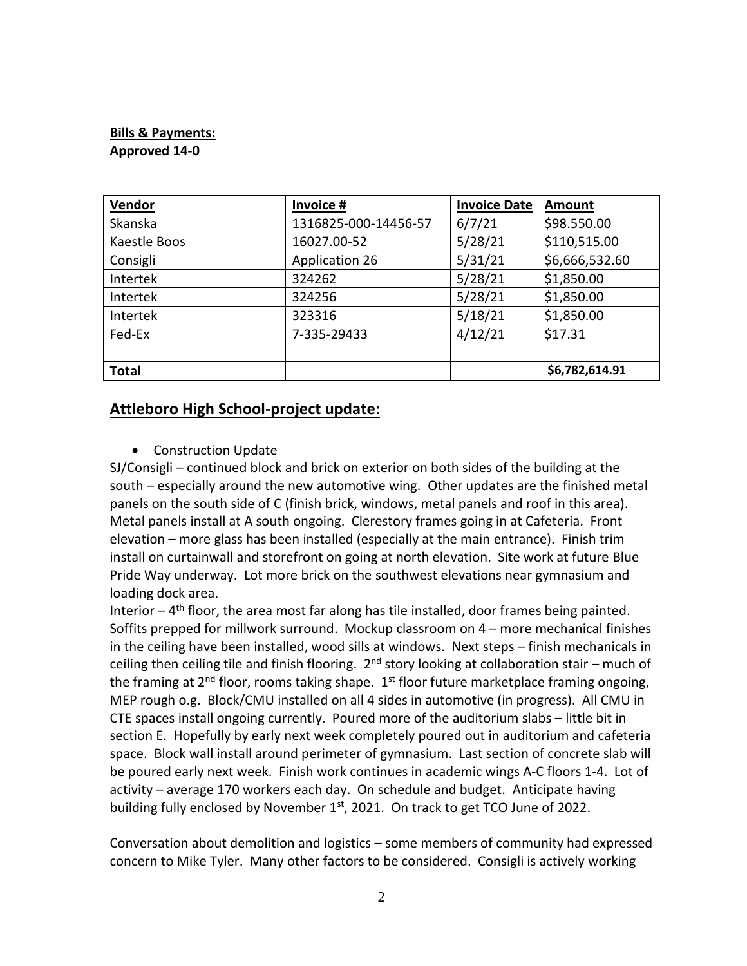## **Bills & Payments: Approved 14-0**

| Vendor       | Invoice #             | <b>Invoice Date</b> | Amount         |  |
|--------------|-----------------------|---------------------|----------------|--|
| Skanska      | 1316825-000-14456-57  | 6/7/21              | \$98.550.00    |  |
| Kaestle Boos | 16027.00-52           | 5/28/21             | \$110,515.00   |  |
| Consigli     | <b>Application 26</b> | 5/31/21             | \$6,666,532.60 |  |
| Intertek     | 324262                | 5/28/21             | \$1,850.00     |  |
| Intertek     | 324256                | 5/28/21             | \$1,850.00     |  |
| Intertek     | 323316                | 5/18/21             | \$1,850.00     |  |
| Fed-Ex       | 7-335-29433           | 4/12/21             | \$17.31        |  |
|              |                       |                     |                |  |
| <b>Total</b> |                       |                     | \$6,782,614.91 |  |

## **Attleboro High School-project update:**

• Construction Update

SJ/Consigli – continued block and brick on exterior on both sides of the building at the south – especially around the new automotive wing. Other updates are the finished metal panels on the south side of C (finish brick, windows, metal panels and roof in this area). Metal panels install at A south ongoing. Clerestory frames going in at Cafeteria. Front elevation – more glass has been installed (especially at the main entrance). Finish trim install on curtainwall and storefront on going at north elevation. Site work at future Blue Pride Way underway. Lot more brick on the southwest elevations near gymnasium and loading dock area.

Interior  $-4$ <sup>th</sup> floor, the area most far along has tile installed, door frames being painted. Soffits prepped for millwork surround. Mockup classroom on 4 – more mechanical finishes in the ceiling have been installed, wood sills at windows. Next steps – finish mechanicals in ceiling then ceiling tile and finish flooring. 2<sup>nd</sup> story looking at collaboration stair – much of the framing at  $2^{nd}$  floor, rooms taking shape.  $1^{st}$  floor future marketplace framing ongoing, MEP rough o.g. Block/CMU installed on all 4 sides in automotive (in progress). All CMU in CTE spaces install ongoing currently. Poured more of the auditorium slabs – little bit in section E. Hopefully by early next week completely poured out in auditorium and cafeteria space. Block wall install around perimeter of gymnasium. Last section of concrete slab will be poured early next week. Finish work continues in academic wings A-C floors 1-4. Lot of activity – average 170 workers each day. On schedule and budget. Anticipate having building fully enclosed by November  $1<sup>st</sup>$ , 2021. On track to get TCO June of 2022.

Conversation about demolition and logistics – some members of community had expressed concern to Mike Tyler. Many other factors to be considered. Consigli is actively working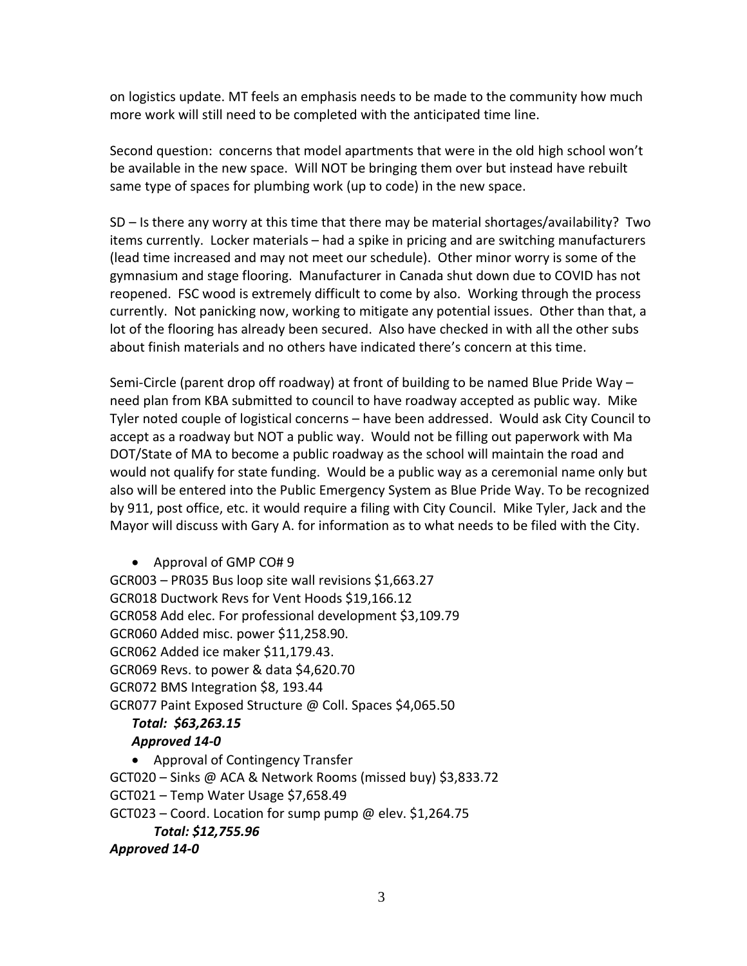on logistics update. MT feels an emphasis needs to be made to the community how much more work will still need to be completed with the anticipated time line.

Second question: concerns that model apartments that were in the old high school won't be available in the new space. Will NOT be bringing them over but instead have rebuilt same type of spaces for plumbing work (up to code) in the new space.

SD – Is there any worry at this time that there may be material shortages/availability? Two items currently. Locker materials – had a spike in pricing and are switching manufacturers (lead time increased and may not meet our schedule). Other minor worry is some of the gymnasium and stage flooring. Manufacturer in Canada shut down due to COVID has not reopened. FSC wood is extremely difficult to come by also. Working through the process currently. Not panicking now, working to mitigate any potential issues. Other than that, a lot of the flooring has already been secured. Also have checked in with all the other subs about finish materials and no others have indicated there's concern at this time.

Semi-Circle (parent drop off roadway) at front of building to be named Blue Pride Way – need plan from KBA submitted to council to have roadway accepted as public way. Mike Tyler noted couple of logistical concerns – have been addressed. Would ask City Council to accept as a roadway but NOT a public way. Would not be filling out paperwork with Ma DOT/State of MA to become a public roadway as the school will maintain the road and would not qualify for state funding. Would be a public way as a ceremonial name only but also will be entered into the Public Emergency System as Blue Pride Way. To be recognized by 911, post office, etc. it would require a filing with City Council. Mike Tyler, Jack and the Mayor will discuss with Gary A. for information as to what needs to be filed with the City.

• Approval of GMP CO# 9

GCR003 – PR035 Bus loop site wall revisions \$1,663.27 GCR018 Ductwork Revs for Vent Hoods \$19,166.12 GCR058 Add elec. For professional development \$3,109.79 GCR060 Added misc. power \$11,258.90. GCR062 Added ice maker \$11,179.43. GCR069 Revs. to power & data \$4,620.70 GCR072 BMS Integration \$8, 193.44 GCR077 Paint Exposed Structure @ Coll. Spaces \$4,065.50

#### *Total: \$63,263.15 Approved 14-0*

• Approval of Contingency Transfer GCT020 – Sinks @ ACA & Network Rooms (missed buy) \$3,833.72 GCT021 – Temp Water Usage \$7,658.49 GCT023 – Coord. Location for sump pump @ elev. \$1,264.75 *Total: \$12,755.96*

*Approved 14-0*